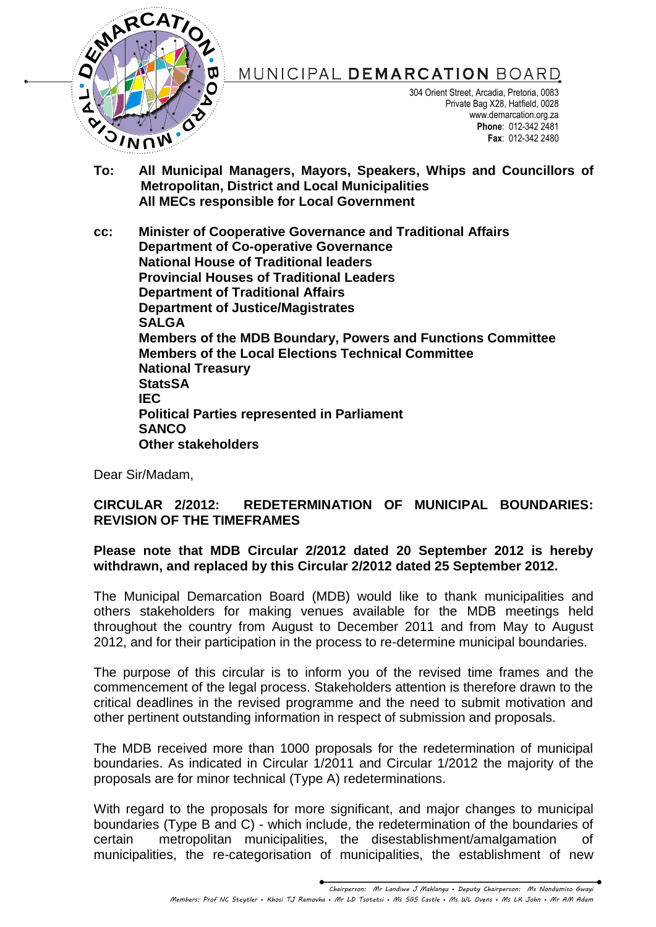

MUNICIPAL DEMARCATION BOARD

304 Orient Street, Arcadia, Pretoria, 0083 Private Bag X28, Hatfield, 0028 www.demarcation.org.za **Phone**: 012-342 2481 **Fax**: 012-342 2480

**To: All Municipal Managers, Mayors, Speakers, Whips and Councillors of Metropolitan, District and Local Municipalities All MECs responsible for Local Government**

**cc: Minister of Cooperative Governance and Traditional Affairs Department of Co-operative Governance National House of Traditional leaders Provincial Houses of Traditional Leaders Department of Traditional Affairs Department of Justice/Magistrates SALGA Members of the MDB Boundary, Powers and Functions Committee Members of the Local Elections Technical Committee National Treasury StatsSA IEC Political Parties represented in Parliament SANCO Other stakeholders**

Dear Sir/Madam,

## **CIRCULAR 2/2012: REDETERMINATION OF MUNICIPAL BOUNDARIES: REVISION OF THE TIMEFRAMES**

## **Please note that MDB Circular 2/2012 dated 20 September 2012 is hereby withdrawn, and replaced by this Circular 2/2012 dated 25 September 2012.**

The Municipal Demarcation Board (MDB) would like to thank municipalities and others stakeholders for making venues available for the MDB meetings held throughout the country from August to December 2011 and from May to August 2012, and for their participation in the process to re-determine municipal boundaries.

The purpose of this circular is to inform you of the revised time frames and the commencement of the legal process. Stakeholders attention is therefore drawn to the critical deadlines in the revised programme and the need to submit motivation and other pertinent outstanding information in respect of submission and proposals.

The MDB received more than 1000 proposals for the redetermination of municipal boundaries. As indicated in Circular 1/2011 and Circular 1/2012 the majority of the proposals are for minor technical (Type A) redeterminations.

With regard to the proposals for more significant, and major changes to municipal boundaries (Type B and C) - which include, the redetermination of the boundaries of certain metropolitan municipalities, the disestablishment/amalgamation of municipalities, the re-categorisation of municipalities, the establishment of new

> *Chairperson: Mr Landiwe J Mahlangu • Deputy Chairperson: Ms Nondumiso Gwayi Members: Prof NC Steytler • Khosi TJ Ramovha • Mr LD Tsotetsi • Ms SGS Castle • Ms WL Ovens • Ms LK John • Mr AM Adam*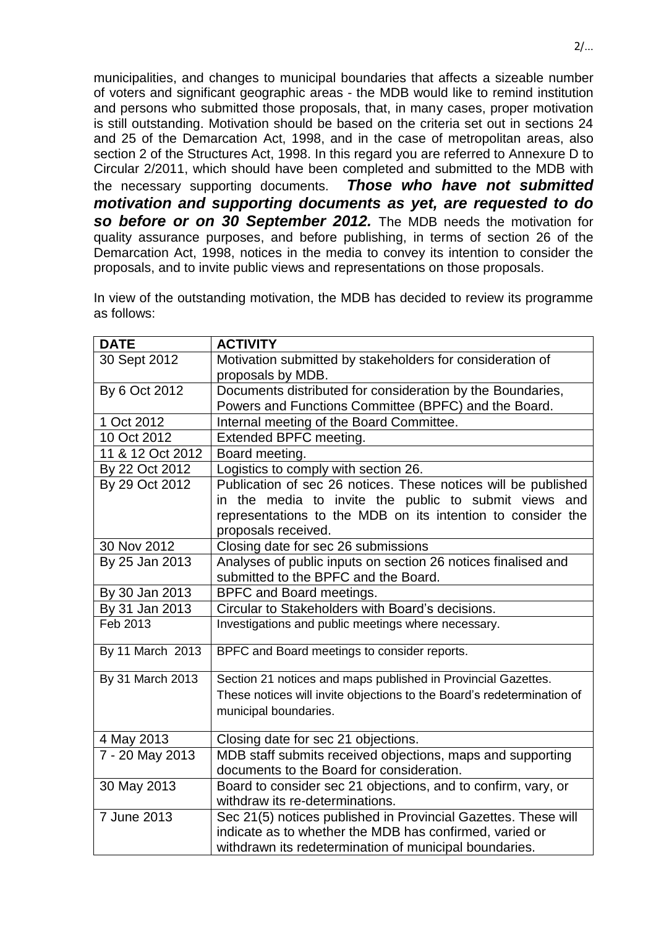municipalities, and changes to municipal boundaries that affects a sizeable number of voters and significant geographic areas - the MDB would like to remind institution and persons who submitted those proposals, that, in many cases, proper motivation is still outstanding. Motivation should be based on the criteria set out in sections 24 and 25 of the Demarcation Act, 1998, and in the case of metropolitan areas, also section 2 of the Structures Act, 1998. In this regard you are referred to Annexure D to Circular 2/2011, which should have been completed and submitted to the MDB with the necessary supporting documents. *Those who have not submitted motivation and supporting documents as yet, are requested to do so before or on 30 September 2012.* The MDB needs the motivation for quality assurance purposes, and before publishing, in terms of section 26 of the Demarcation Act, 1998, notices in the media to convey its intention to consider the proposals, and to invite public views and representations on those proposals.

In view of the outstanding motivation, the MDB has decided to review its programme as follows:

| <b>DATE</b>      | <b>ACTIVITY</b>                                                                |
|------------------|--------------------------------------------------------------------------------|
| 30 Sept 2012     | Motivation submitted by stakeholders for consideration of<br>proposals by MDB. |
| By 6 Oct 2012    | Documents distributed for consideration by the Boundaries,                     |
|                  | Powers and Functions Committee (BPFC) and the Board.                           |
| 1 Oct 2012       | Internal meeting of the Board Committee.                                       |
| 10 Oct 2012      | Extended BPFC meeting.                                                         |
| 11 & 12 Oct 2012 | Board meeting.                                                                 |
| By 22 Oct 2012   | Logistics to comply with section 26.                                           |
| By 29 Oct 2012   | Publication of sec 26 notices. These notices will be published                 |
|                  | in the media to invite the public to submit views and                          |
|                  | representations to the MDB on its intention to consider the                    |
|                  | proposals received.                                                            |
| 30 Nov 2012      | Closing date for sec 26 submissions                                            |
| By 25 Jan 2013   | Analyses of public inputs on section 26 notices finalised and                  |
|                  | submitted to the BPFC and the Board.                                           |
| By 30 Jan 2013   | <b>BPFC and Board meetings.</b>                                                |
| By 31 Jan 2013   | Circular to Stakeholders with Board's decisions.                               |
| Feb 2013         | Investigations and public meetings where necessary.                            |
| By 11 March 2013 | BPFC and Board meetings to consider reports.                                   |
| By 31 March 2013 | Section 21 notices and maps published in Provincial Gazettes.                  |
|                  | These notices will invite objections to the Board's redetermination of         |
|                  | municipal boundaries.                                                          |
|                  |                                                                                |
| 4 May 2013       | Closing date for sec 21 objections.                                            |
| 7 - 20 May 2013  | MDB staff submits received objections, maps and supporting                     |
|                  | documents to the Board for consideration.                                      |
| 30 May 2013      | Board to consider sec 21 objections, and to confirm, vary, or                  |
|                  | withdraw its re-determinations.                                                |
| 7 June 2013      | Sec 21(5) notices published in Provincial Gazettes. These will                 |
|                  | indicate as to whether the MDB has confirmed, varied or                        |
|                  | withdrawn its redetermination of municipal boundaries.                         |